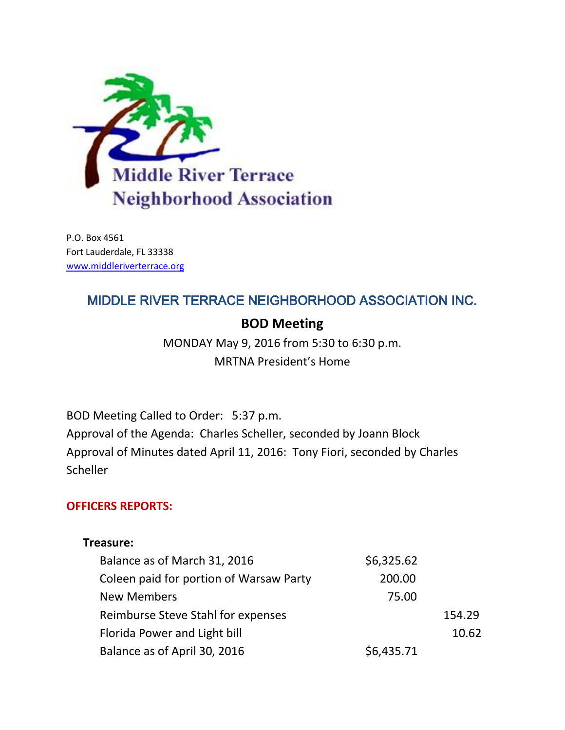

P.O. Box 4561 Fort Lauderdale, FL 33338 [www.middleriverterrace.org](http://www.middleriverterrace.org/)

# MIDDLE RIVER TERRACE NEIGHBORHOOD ASSOCIATION INC.

# **BOD Meeting**

MONDAY May 9, 2016 from 5:30 to 6:30 p.m. MRTNA President's Home

BOD Meeting Called to Order: 5:37 p.m. Approval of the Agenda: Charles Scheller, seconded by Joann Block Approval of Minutes dated April 11, 2016: Tony Fiori, seconded by Charles **Scheller** 

# **OFFICERS REPORTS:**

## **Treasure:**

| Balance as of March 31, 2016            | \$6,325.62 |        |
|-----------------------------------------|------------|--------|
| Coleen paid for portion of Warsaw Party | 200.00     |        |
| <b>New Members</b>                      | 75.00      |        |
| Reimburse Steve Stahl for expenses      |            | 154.29 |
| Florida Power and Light bill            |            | 10.62  |
| Balance as of April 30, 2016            | \$6,435.71 |        |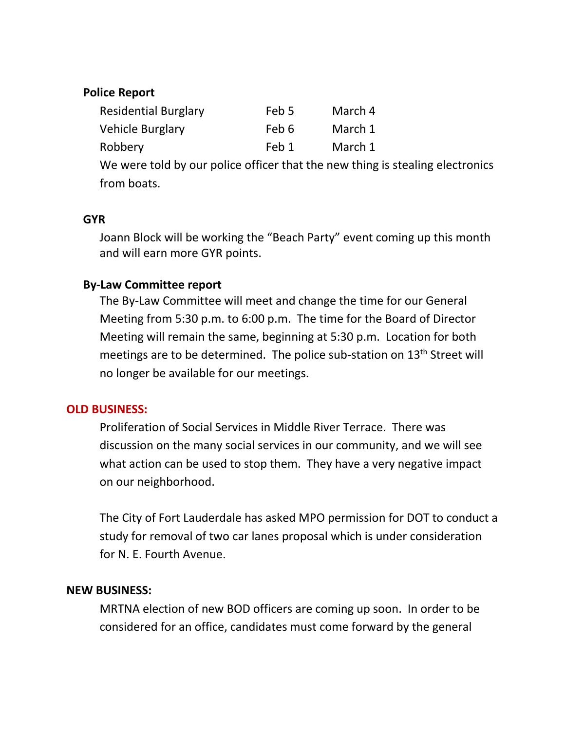## **Police Report**

| <b>Residential Burglary</b> | Feb 5 | March 4 |
|-----------------------------|-------|---------|
| Vehicle Burglary            | Feb 6 | March 1 |
| Robbery                     | Feb 1 | March 1 |

We were told by our police officer that the new thing is stealing electronics from boats.

#### **GYR**

Joann Block will be working the "Beach Party" event coming up this month and will earn more GYR points.

## **By-Law Committee report**

The By-Law Committee will meet and change the time for our General Meeting from 5:30 p.m. to 6:00 p.m. The time for the Board of Director Meeting will remain the same, beginning at 5:30 p.m. Location for both meetings are to be determined. The police sub-station on 13<sup>th</sup> Street will no longer be available for our meetings.

## **OLD BUSINESS:**

Proliferation of Social Services in Middle River Terrace. There was discussion on the many social services in our community, and we will see what action can be used to stop them. They have a very negative impact on our neighborhood.

The City of Fort Lauderdale has asked MPO permission for DOT to conduct a study for removal of two car lanes proposal which is under consideration for N. E. Fourth Avenue.

## **NEW BUSINESS:**

MRTNA election of new BOD officers are coming up soon. In order to be considered for an office, candidates must come forward by the general